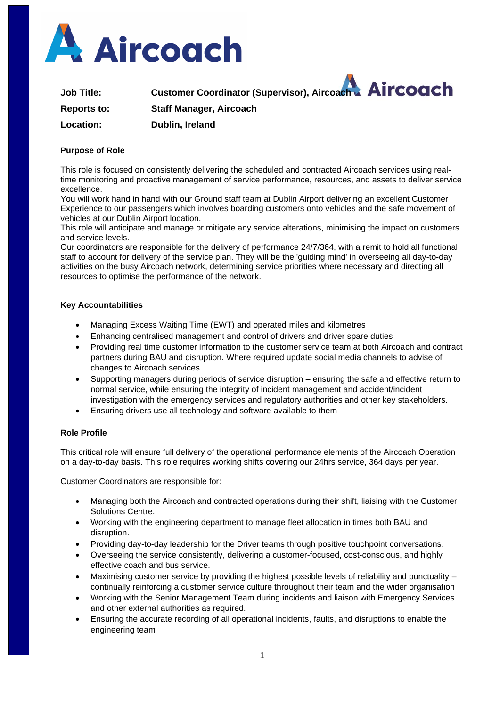

**Job Title: Customer Coordinator (Supervisor), Aircoach Reports to: Staff Manager, Aircoach Location: Dublin, Ireland**

## **Purpose of Role**

This role is focused on consistently delivering the scheduled and contracted Aircoach services using realtime monitoring and proactive management of service performance, resources, and assets to deliver service excellence.

You will work hand in hand with our Ground staff team at Dublin Airport delivering an excellent Customer Experience to our passengers which involves boarding customers onto vehicles and the safe movement of vehicles at our Dublin Airport location.

This role will anticipate and manage or mitigate any service alterations, minimising the impact on customers and service levels.

Our coordinators are responsible for the delivery of performance 24/7/364, with a remit to hold all functional staff to account for delivery of the service plan. They will be the 'guiding mind' in overseeing all day-to-day activities on the busy Aircoach network, determining service priorities where necessary and directing all resources to optimise the performance of the network.

## **Key Accountabilities**

- Managing Excess Waiting Time (EWT) and operated miles and kilometres
- Enhancing centralised management and control of drivers and driver spare duties
- Providing real time customer information to the customer service team at both Aircoach and contract partners during BAU and disruption. Where required update social media channels to advise of changes to Aircoach services.
- Supporting managers during periods of service disruption ensuring the safe and effective return to normal service, while ensuring the integrity of incident management and accident/incident investigation with the emergency services and regulatory authorities and other key stakeholders.
- Ensuring drivers use all technology and software available to them

#### **Role Profile**

This critical role will ensure full delivery of the operational performance elements of the Aircoach Operation on a day-to-day basis. This role requires working shifts covering our 24hrs service, 364 days per year.

Customer Coordinators are responsible for:

- Managing both the Aircoach and contracted operations during their shift, liaising with the Customer Solutions Centre.
- Working with the engineering department to manage fleet allocation in times both BAU and disruption.
- Providing day-to-day leadership for the Driver teams through positive touchpoint conversations.
- Overseeing the service consistently, delivering a customer-focused, cost-conscious, and highly effective coach and bus service.
- Maximising customer service by providing the highest possible levels of reliability and punctuality continually reinforcing a customer service culture throughout their team and the wider organisation
- Working with the Senior Management Team during incidents and liaison with Emergency Services and other external authorities as required.
- Ensuring the accurate recording of all operational incidents, faults, and disruptions to enable the engineering team